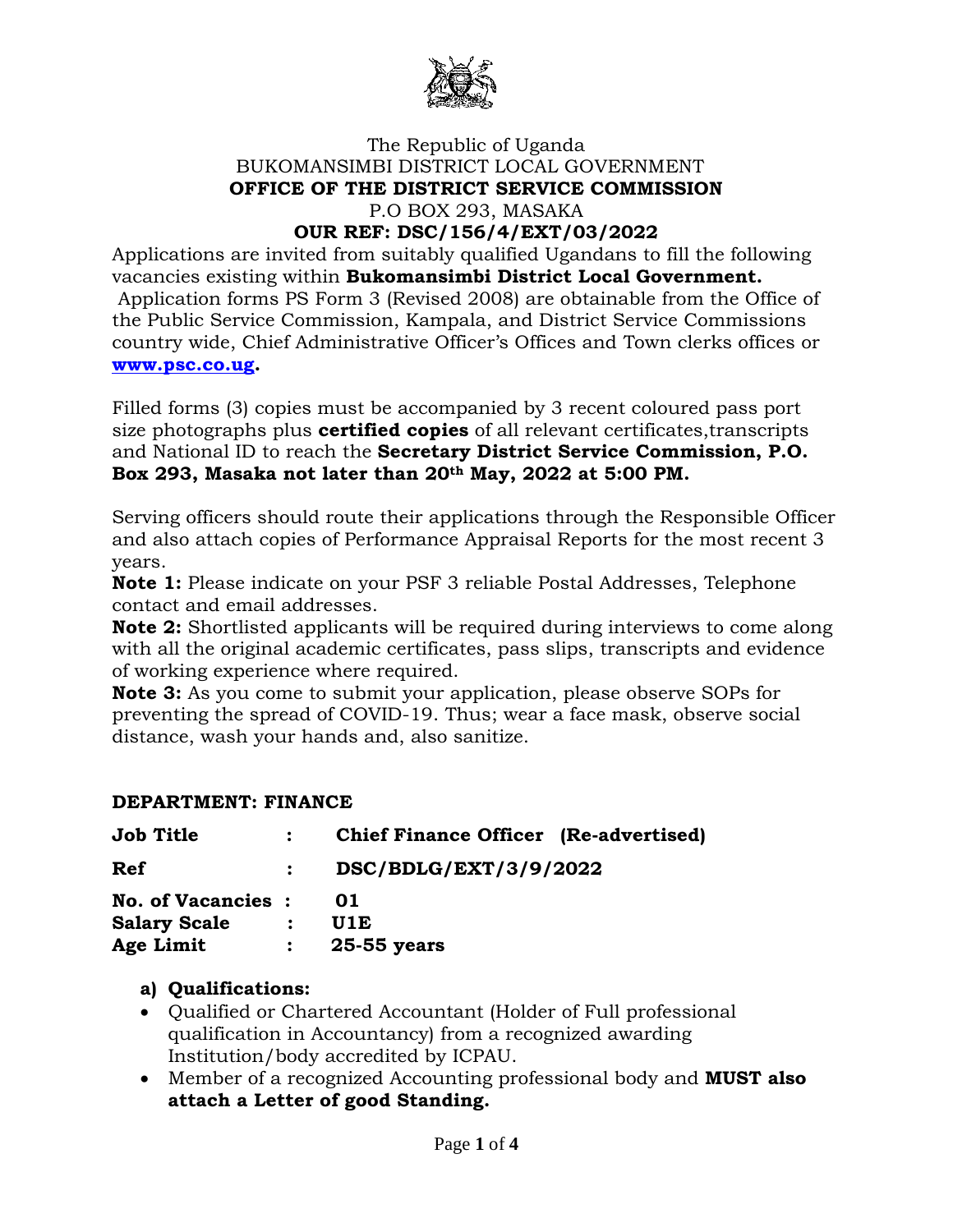

# The Republic of Uganda BUKOMANSIMBI DISTRICT LOCAL GOVERNMENT **OFFICE OF THE DISTRICT SERVICE COMMISSION** P.O BOX 293, MASAKA

### **OUR REF: DSC/156/4/EXT/03/2022**

Applications are invited from suitably qualified Ugandans to fill the following vacancies existing within **Bukomansimbi District Local Government.** Application forms PS Form 3 (Revised 2008) are obtainable from the Office of the Public Service Commission, Kampala, and District Service Commissions country wide, Chief Administrative Officer's Offices and Town clerks offices or **[www.psc.co.ug.](http://www.psc.co.ug/)**

Filled forms (3) copies must be accompanied by 3 recent coloured pass port size photographs plus **certified copies** of all relevant certificates,transcripts and National ID to reach the **Secretary District Service Commission, P.O. Box 293, Masaka not later than 20th May, 2022 at 5:00 PM.**

Serving officers should route their applications through the Responsible Officer and also attach copies of Performance Appraisal Reports for the most recent 3 years.

**Note 1:** Please indicate on your PSF 3 reliable Postal Addresses, Telephone contact and email addresses.

**Note 2:** Shortlisted applicants will be required during interviews to come along with all the original academic certificates, pass slips, transcripts and evidence of working experience where required.

**Note 3:** As you come to submit your application, please observe SOPs for preventing the spread of COVID-19. Thus; wear a face mask, observe social distance, wash your hands and, also sanitize.

#### **DEPARTMENT: FINANCE**

| <b>Job Title</b>          | $\mathbf{r}$ | <b>Chief Finance Officer</b> (Re-advertised) |
|---------------------------|--------------|----------------------------------------------|
| Ref                       |              | DSC/BDLG/EXT/3/9/2022                        |
| <b>No. of Vacancies :</b> |              | 01                                           |
| <b>Salary Scale</b>       | $\mathbf{L}$ | U1E                                          |
| Age Limit                 | $\mathbf{L}$ | 25-55 years                                  |

#### **a) Qualifications:**

- Qualified or Chartered Accountant (Holder of Full professional qualification in Accountancy) from a recognized awarding Institution/body accredited by ICPAU.
- Member of a recognized Accounting professional body and **MUST also attach a Letter of good Standing.**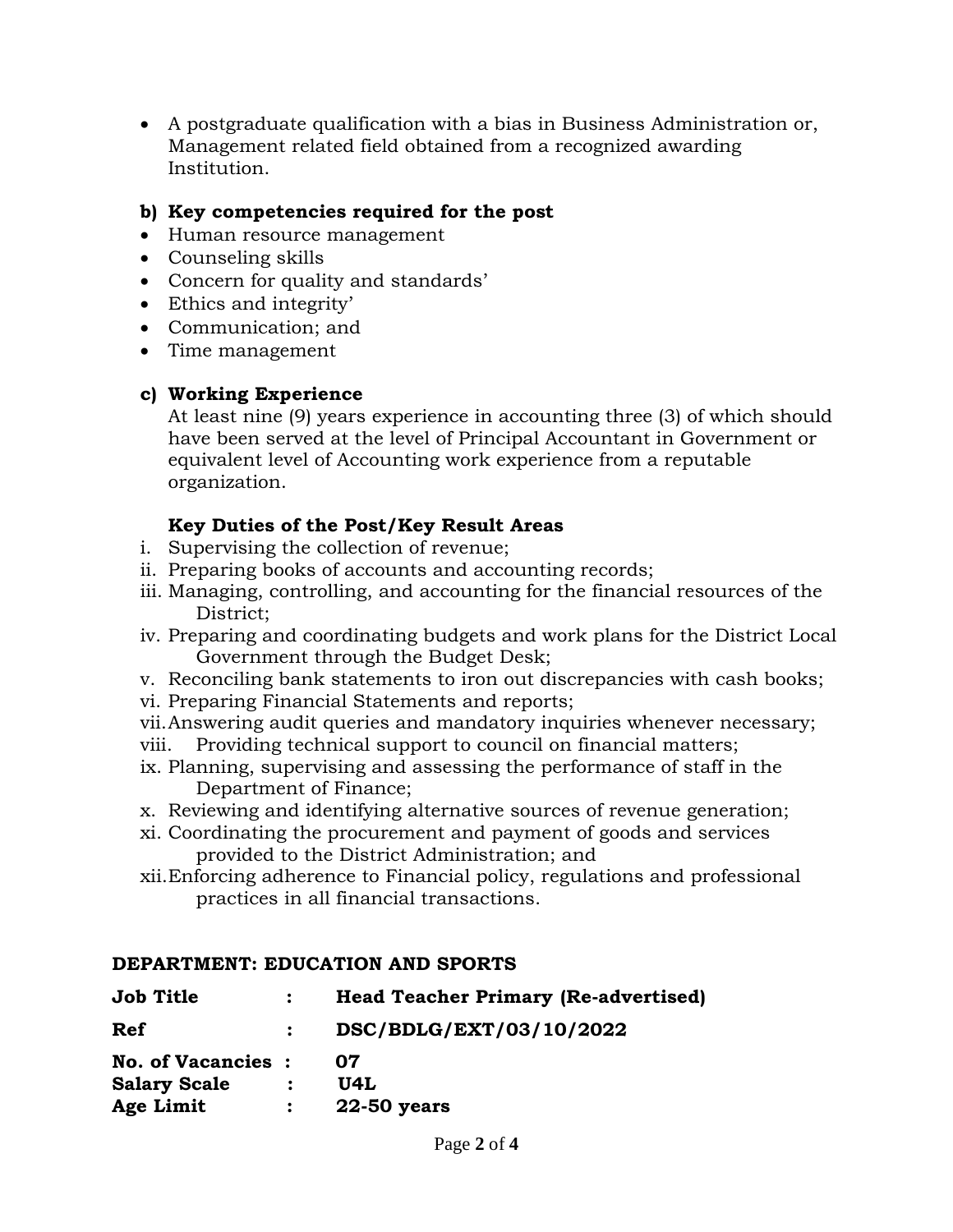A postgraduate qualification with a bias in Business Administration or, Management related field obtained from a recognized awarding Institution.

## **b) Key competencies required for the post**

- Human resource management
- Counseling skills
- Concern for quality and standards'
- Ethics and integrity'
- Communication: and
- Time management

## **c) Working Experience**

At least nine (9) years experience in accounting three (3) of which should have been served at the level of Principal Accountant in Government or equivalent level of Accounting work experience from a reputable organization.

## **Key Duties of the Post/Key Result Areas**

- i. Supervising the collection of revenue;
- ii. Preparing books of accounts and accounting records;
- iii. Managing, controlling, and accounting for the financial resources of the District;
- iv. Preparing and coordinating budgets and work plans for the District Local Government through the Budget Desk;
- v. Reconciling bank statements to iron out discrepancies with cash books;
- vi. Preparing Financial Statements and reports;
- vii.Answering audit queries and mandatory inquiries whenever necessary;
- viii. Providing technical support to council on financial matters;
- ix. Planning, supervising and assessing the performance of staff in the Department of Finance;
- x. Reviewing and identifying alternative sources of revenue generation;
- xi. Coordinating the procurement and payment of goods and services provided to the District Administration; and
- xii.Enforcing adherence to Financial policy, regulations and professional practices in all financial transactions.

## **DEPARTMENT: EDUCATION AND SPORTS**

| <b>Job Title</b>          |                | <b>Head Teacher Primary (Re-advertised)</b> |
|---------------------------|----------------|---------------------------------------------|
| <b>Ref</b>                |                | DSC/BDLG/EXT/03/10/2022                     |
| <b>No. of Vacancies :</b> |                | 07                                          |
| <b>Salary Scale</b>       | $\ddot{\cdot}$ | U4L                                         |
| Age Limit                 | $\ddot{\cdot}$ | <b>22-50 years</b>                          |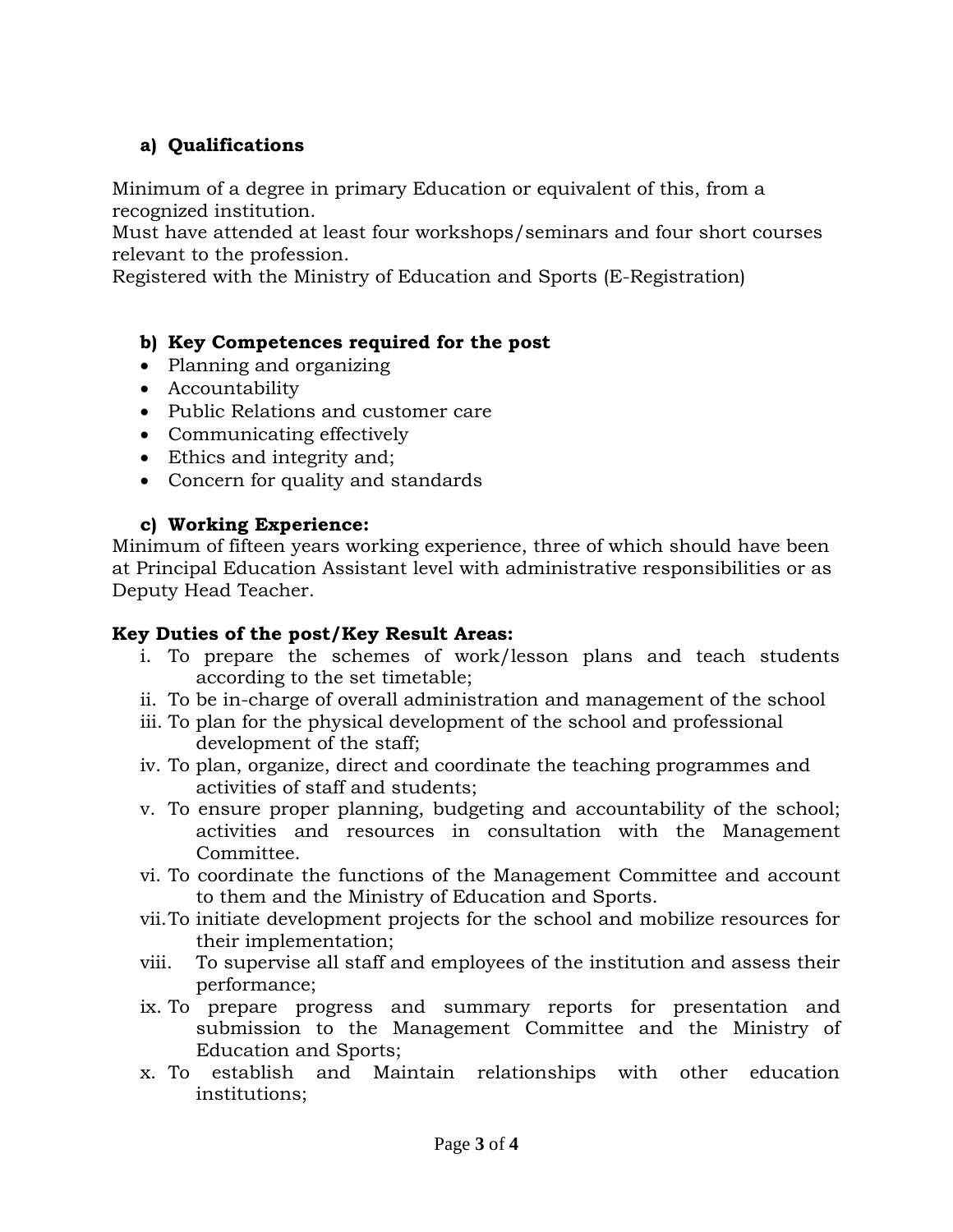## **a) Qualifications**

Minimum of a degree in primary Education or equivalent of this, from a recognized institution.

Must have attended at least four workshops/seminars and four short courses relevant to the profession.

Registered with the Ministry of Education and Sports (E-Registration)

## **b) Key Competences required for the post**

- Planning and organizing
- Accountability
- Public Relations and customer care
- Communicating effectively
- Ethics and integrity and;
- Concern for quality and standards

### **c) Working Experience:**

Minimum of fifteen years working experience, three of which should have been at Principal Education Assistant level with administrative responsibilities or as Deputy Head Teacher.

## **Key Duties of the post/Key Result Areas:**

- i. To prepare the schemes of work/lesson plans and teach students according to the set timetable;
- ii. To be in-charge of overall administration and management of the school
- iii. To plan for the physical development of the school and professional development of the staff;
- iv. To plan, organize, direct and coordinate the teaching programmes and activities of staff and students;
- v. To ensure proper planning, budgeting and accountability of the school; activities and resources in consultation with the Management Committee.
- vi. To coordinate the functions of the Management Committee and account to them and the Ministry of Education and Sports.
- vii.To initiate development projects for the school and mobilize resources for their implementation;
- viii. To supervise all staff and employees of the institution and assess their performance;
- ix. To prepare progress and summary reports for presentation and submission to the Management Committee and the Ministry of Education and Sports;
- x. To establish and Maintain relationships with other education institutions;